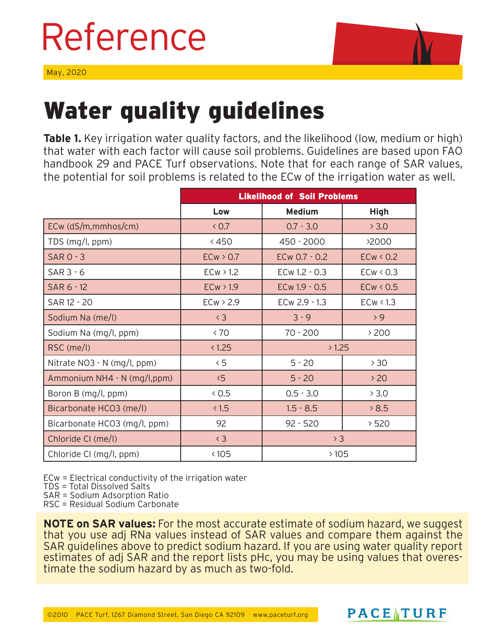## Reference





## Water quality guidelines

**Table 1.** Key irrigation water quality factors, and the likelihood (low, medium or high) that water with each factor will cause soil problems. Guidelines are based upon FAO handbook 29 and PACE Turf observations. Note that for each range of SAR values, the potential for soil problems is related to the ECw of the irrigation water as well.

|                              | <b>Likelihood of Soil Problems</b> |                    |             |  |  |
|------------------------------|------------------------------------|--------------------|-------------|--|--|
|                              | Low                                | <b>Medium</b>      | <b>High</b> |  |  |
| ECw (dS/m,mmhos/cm)          | < 0.7                              | $0.7 - 3.0$        | > 3.0       |  |  |
| TDS (mg/l, ppm)              | < 450                              | 450 - 2000         | >2000       |  |  |
| <b>SAR 0 - 3</b>             | ECW > 0.7                          | ECw 0.7 - 0.2      | ECW < 0.2   |  |  |
| $SAR 3 - 6$                  | ECW > 1.2                          | ECw 1.2 - 0.3      | ECW < 0.3   |  |  |
| SAR 6 - 12                   | ECW > 1.9                          | ECw 1.9 - 0.5      | ECw < 0.5   |  |  |
| SAR 12 - 20                  | ECW > 2.9                          | ECw 2.9 - 1.3      | ECW < 1.3   |  |  |
| Sodium Na (me/l)             | $\langle 3$                        | $3 - 9$            | > 9         |  |  |
| Sodium Na (mg/l, ppm)        | & 70                               | $70 - 200$         | >200        |  |  |
| RSC (me/l)                   | < 1.25                             | >1.25              |             |  |  |
| Nitrate NO3 - N (mg/l, ppm)  | $\leq$ 5                           | $5 - 20$<br>> 30   |             |  |  |
| Ammonium NH4 - N (mg/l,ppm)  | 5 <sub>5</sub>                     | $5 - 20$           | > 20        |  |  |
| Boron B (mg/l, ppm)          | 0.5                                | $0.5 - 3.0$        | > 3.0       |  |  |
| Bicarbonate HCO3 (me/l)      | <1.5                               | $1.5 - 8.5$        | 8.5         |  |  |
| Bicarbonate HCO3 (mg/l, ppm) | 92                                 | $92 - 520$<br>>520 |             |  |  |
| Chloride CI (me/l)           | $\langle 3$                        | > 3                |             |  |  |
| Chloride CI (mg/l, ppm)      | <105                               | >105               |             |  |  |

ECw = Electrical conductivity of the irrigation water

TDS = Total Dissolved Salts

SAR = Sodium Adsorption Ratio

RSC = Residual Sodium Carbonate

**NOTE on SAR values:** For the most accurate estimate of sodium hazard, we suggest that you use adj RNa values instead of SAR values and compare them against the SAR guidelines above to predict sodium hazard. If you are using water quality report estimates of adj SAR and the report lists pHc, you may be using values that overestimate the sodium hazard by as much as two-fold.